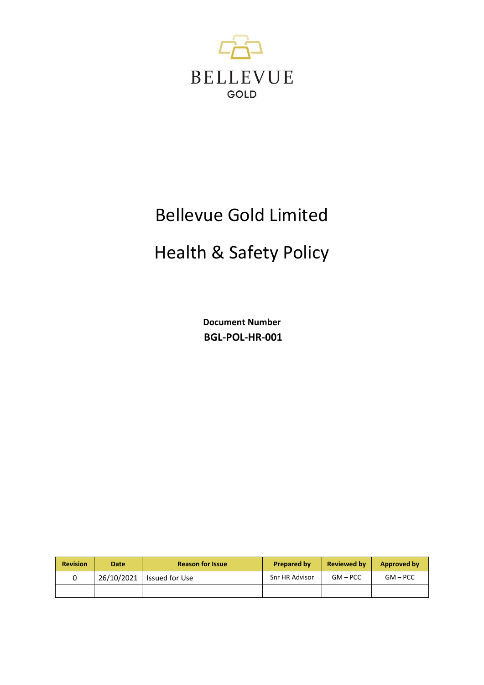

# Bellevue Gold Limited

# Health & Safety Policy

**Document Number BGL-POL-HR-001**

| <b>Revision</b> | Date       | <b>Reason for Issue</b> | <b>Prepared by</b> | <b>Reviewed by</b> | Approved by |
|-----------------|------------|-------------------------|--------------------|--------------------|-------------|
|                 | 26/10/2021 | Issued for Use          | Snr HR Advisor     | $GM - PCC$         | $GM - PCC$  |
|                 |            |                         |                    |                    |             |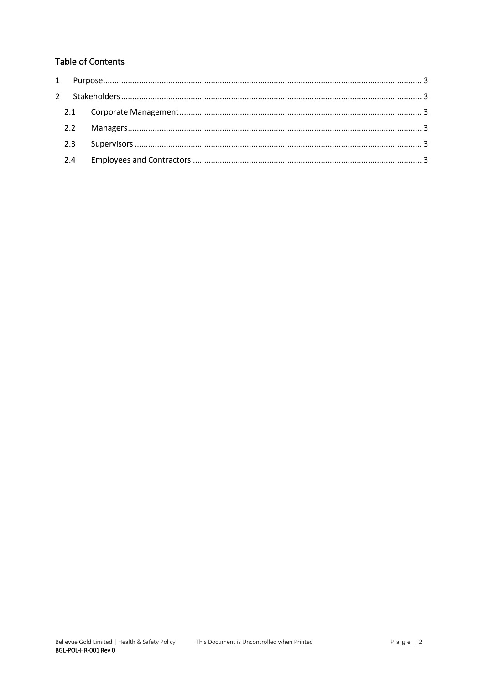# **Table of Contents**